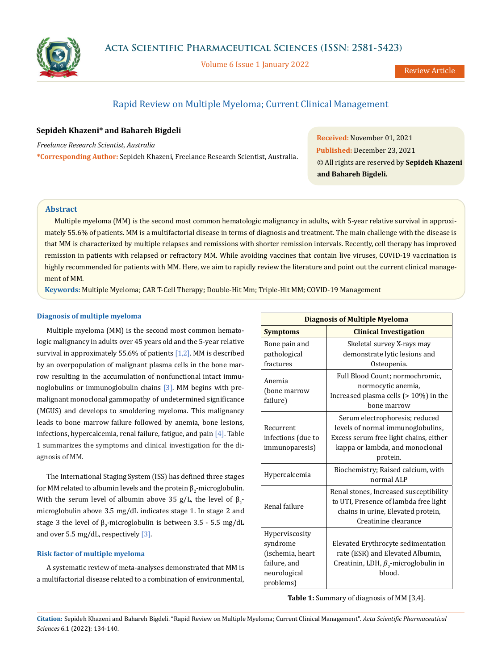

Volume 6 Issue 1 January 2022

Review Article

# Rapid Review on Multiple Myeloma; Current Clinical Management

## **Sepideh Khazeni\* and Bahareh Bigdeli**

*Freelance Research Scientist, Australia* **\*Corresponding Author:** Sepideh Khazeni, Freelance Research Scientist, Australia.

**Received:** November 01, 2021 **Published:** December 23, 2021 © All rights are reserved by **Sepideh Khazeni and Bahareh Bigdeli***.*

### **Abstract**

Multiple myeloma (MM) is the second most common hematologic malignancy in adults, with 5-year relative survival in approximately 55.6% of patients. MM is a multifactorial disease in terms of diagnosis and treatment. The main challenge with the disease is that MM is characterized by multiple relapses and remissions with shorter remission intervals. Recently, cell therapy has improved remission in patients with relapsed or refractory MM. While avoiding vaccines that contain live viruses, COVID-19 vaccination is highly recommended for patients with MM. Here, we aim to rapidly review the literature and point out the current clinical management of MM.

**Keywords:** Multiple Myeloma; CAR T-Cell Therapy; Double-Hit Mm; Triple-Hit MM; COVID-19 Management

### **Diagnosis of multiple myeloma**

Multiple myeloma (MM) is the second most common hematologic malignancy in adults over 45 years old and the 5-year relative survival in approximately 55.6% of patients  $[1,2]$ . MM is described by an overpopulation of malignant plasma cells in the bone marrow resulting in the accumulation of nonfunctional intact immunoglobulins or immunoglobulin chains  $[3]$ . MM begins with premalignant monoclonal gammopathy of undetermined significance (MGUS) and develops to smoldering myeloma. This malignancy leads to bone marrow failure followed by anemia, bone lesions, infections, hypercalcemia, renal failure, fatigue, and pain [4]. Table 1 summarizes the symptoms and clinical investigation for the diagnosis of MM.

The International Staging System (ISS) has defined three stages for MM related to albumin levels and the protein  $\boldsymbol{\beta}_2$ -microglobulin. With the serum level of albumin above 35 g/L, the level of  $\beta_2$ microglobulin above 3.5 mg/dL indicates stage 1. In stage 2 and stage 3 the level of  $\beta_2$ -microglobulin is between 3.5 - 5.5 mg/dL and over 5.5 mg/dL, respectively [3].

### **Risk factor of multiple myeloma**

A systematic review of meta-analyses demonstrated that MM is a multifactorial disease related to a combination of environmental,

| <b>Diagnosis of Multiple Myeloma</b>                                                        |                                                                                                                                                              |  |  |
|---------------------------------------------------------------------------------------------|--------------------------------------------------------------------------------------------------------------------------------------------------------------|--|--|
| <b>Symptoms</b>                                                                             | <b>Clinical Investigation</b>                                                                                                                                |  |  |
| Bone pain and<br>pathological<br>fractures                                                  | Skeletal survey X-rays may<br>demonstrate lytic lesions and<br>Osteopenia.                                                                                   |  |  |
| Anemia<br>(bone marrow<br>failure)                                                          | Full Blood Count; normochromic,<br>normocytic anemia,<br>Increased plasma cells $(>10%)$ in the<br>bone marrow                                               |  |  |
| Recurrent<br>infections (due to<br>immunoparesis)                                           | Serum electrophoresis; reduced<br>levels of normal immunoglobulins,<br>Excess serum free light chains, either<br>kappa or lambda, and monoclonal<br>protein. |  |  |
| Hypercalcemia                                                                               | Biochemistry; Raised calcium, with<br>normal ALP                                                                                                             |  |  |
| Renal failure                                                                               | Renal stones, Increased susceptibility<br>to UTI, Presence of lambda free light<br>chains in urine, Elevated protein,<br>Creatinine clearance                |  |  |
| Hyperviscosity<br>syndrome<br>(ischemia, heart<br>failure, and<br>neurological<br>problems) | Elevated Erythrocyte sedimentation<br>rate (ESR) and Elevated Albumin,<br>Creatinin, LDH, $\beta_2$ -microglobulin in<br>blood.                              |  |  |

**Table 1:** Summary of diagnosis of MM [3,4].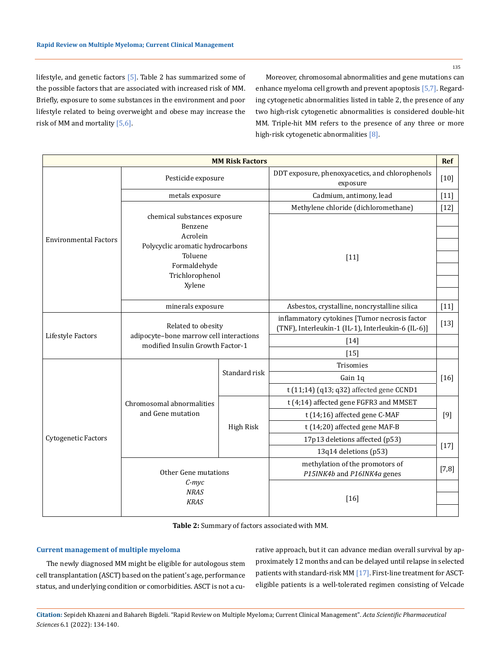135

lifestyle, and genetic factors [5]. Table 2 has summarized some of the possible factors that are associated with increased risk of MM. Briefly, exposure to some substances in the environment and poor lifestyle related to being overweight and obese may increase the risk of MM and mortality [5,6].

Moreover, chromosomal abnormalities and gene mutations can enhance myeloma cell growth and prevent apoptosis [5,7]. Regarding cytogenetic abnormalities listed in table 2, the presence of any two high-risk cytogenetic abnormalities is considered double-hit MM. Triple-hit MM refers to the presence of any three or more high-risk cytogenetic abnormalities [8].

| Ref<br><b>MM Risk Factors</b> |                                                                                                   |               |                                                                                                     |         |  |
|-------------------------------|---------------------------------------------------------------------------------------------------|---------------|-----------------------------------------------------------------------------------------------------|---------|--|
|                               | Pesticide exposure                                                                                |               | DDT exposure, phenoxyacetics, and chlorophenols<br>exposure                                         |         |  |
|                               | metals exposure                                                                                   |               | Cadmium, antimony, lead                                                                             | $[11]$  |  |
|                               | chemical substances exposure<br>Benzene<br>Acrolein                                               |               | Methylene chloride (dichloromethane)                                                                | $[12]$  |  |
| <b>Environmental Factors</b>  |                                                                                                   |               |                                                                                                     |         |  |
|                               | Polycyclic aromatic hydrocarbons                                                                  |               |                                                                                                     |         |  |
|                               | Toluene<br>Formaldehyde                                                                           |               | $[11]$                                                                                              |         |  |
|                               | Trichlorophenol                                                                                   |               |                                                                                                     |         |  |
|                               | Xylene                                                                                            |               |                                                                                                     |         |  |
|                               |                                                                                                   |               |                                                                                                     |         |  |
|                               | minerals exposure                                                                                 |               | Asbestos, crystalline, noncrystalline silica                                                        |         |  |
| Lifestyle Factors             | Related to obesity<br>adipocyte-bone marrow cell interactions<br>modified Insulin Growth Factor-1 |               | inflammatory cytokines [Tumor necrosis factor<br>(TNF), Interleukin-1 (IL-1), Interleukin-6 (IL-6)] | $[13]$  |  |
|                               |                                                                                                   |               | $[14]$                                                                                              |         |  |
|                               |                                                                                                   |               | $[15]$                                                                                              |         |  |
|                               | Chromosomal abnormalities<br>and Gene mutation                                                    | Standard risk | Trisomies                                                                                           | $[16]$  |  |
|                               |                                                                                                   |               | Gain 1q                                                                                             |         |  |
|                               |                                                                                                   |               | t (11;14) (q13; q32) affected gene CCND1                                                            |         |  |
|                               |                                                                                                   | High Risk     | t (4;14) affected gene FGFR3 and MMSET                                                              | $[9]$   |  |
| Cytogenetic Factors           |                                                                                                   |               | t (14;16) affected gene C-MAF                                                                       |         |  |
|                               |                                                                                                   |               | t (14;20) affected gene MAF-B                                                                       |         |  |
|                               |                                                                                                   |               | 17p13 deletions affected (p53)                                                                      | $[17]$  |  |
|                               |                                                                                                   |               | 13q14 deletions (p53)                                                                               |         |  |
|                               | Other Gene mutations<br>$C$ -myc<br><b>NRAS</b><br><b>KRAS</b>                                    |               | methylation of the promotors of<br>P15INK4b and P16INK4a genes                                      | $[7,8]$ |  |
|                               |                                                                                                   |               | $[16]$                                                                                              |         |  |
|                               |                                                                                                   |               |                                                                                                     |         |  |

**Table 2:** Summary of factors associated with MM.

# **Current management of multiple myeloma**

The newly diagnosed MM might be eligible for autologous stem cell transplantation (ASCT) based on the patient's age, performance status, and underlying condition or comorbidities. ASCT is not a curative approach, but it can advance median overall survival by approximately 12 months and can be delayed until relapse in selected patients with standard-risk MM [17]. First-line treatment for ASCTeligible patients is a well-tolerated regimen consisting of Velcade

**Citation:** Sepideh Khazeni and Bahareh Bigdeli*.* "Rapid Review on Multiple Myeloma; Current Clinical Management". *Acta Scientific Pharmaceutical Sciences* 6.1 (2022): 134-140.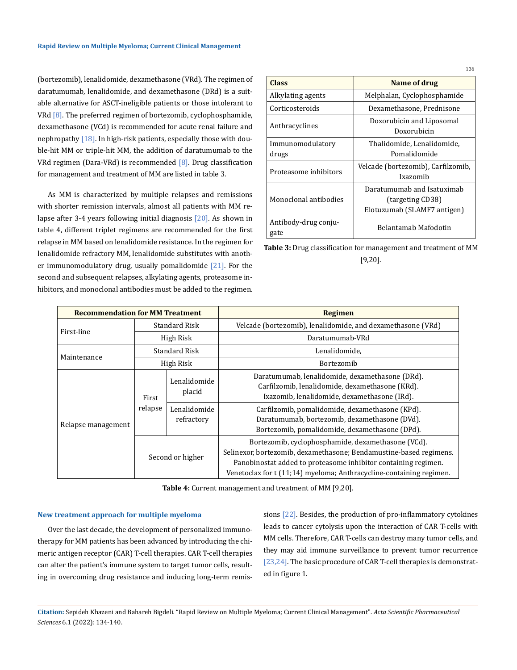(bortezomib), lenalidomide, dexamethasone (VRd). The regimen of daratumumab, lenalidomide, and dexamethasone (DRd) is a suitable alternative for ASCT-ineligible patients or those intolerant to VRd [8]. The preferred regimen of bortezomib, cyclophosphamide, dexamethasone (VCd) is recommended for acute renal failure and nephropathy [18]. In high-risk patients, especially those with double-hit MM or triple-hit MM, the addition of daratumumab to the VRd regimen (Dara-VRd) is recommended [8]. Drug classification for management and treatment of MM are listed in table 3.

As MM is characterized by multiple relapses and remissions with shorter remission intervals, almost all patients with MM relapse after 3-4 years following initial diagnosis [20]. As shown in table 4, different triplet regimens are recommended for the first relapse in MM based on lenalidomide resistance. In the regimen for lenalidomide refractory MM, lenalidomide substitutes with another immunomodulatory drug, usually pomalidomide  $[21]$ . For the second and subsequent relapses, alkylating agents, proteasome inhibitors, and monoclonal antibodies must be added to the regimen.

|                              | 136                                                                           |
|------------------------------|-------------------------------------------------------------------------------|
| <b>Class</b>                 | Name of drug                                                                  |
| Alkylating agents            | Melphalan, Cyclophosphamide                                                   |
| Corticosteroids              | Dexamethasone, Prednisone                                                     |
| Anthracyclines               | Doxorubicin and Liposomal<br>Doxorubicin                                      |
| Immunomodulatory<br>drugs    | Thalidomide, Lenalidomide,<br>Pomalidomide                                    |
| Proteasome inhibitors        | Velcade (bortezomib), Carfilzomib,<br>Ixazomib                                |
| Monoclonal antibodies        | Daratumumab and Isatuximab<br>(targeting CD38)<br>Elotuzumab (SLAMF7 antigen) |
| Antibody-drug conju-<br>gate | Belantamab Mafodotin                                                          |

**Table 3:** Drug classification for management and treatment of MM [9,20].

| <b>Recommendation for MM Treatment</b> |                      |                            | <b>Regimen</b>                                                                                                                                                                                                                                                    |
|----------------------------------------|----------------------|----------------------------|-------------------------------------------------------------------------------------------------------------------------------------------------------------------------------------------------------------------------------------------------------------------|
| First-line                             | <b>Standard Risk</b> |                            | Velcade (bortezomib), lenalidomide, and dexamethasone (VRd)                                                                                                                                                                                                       |
|                                        | High Risk            |                            | Daratumumab-VRd                                                                                                                                                                                                                                                   |
| Maintenance                            | Standard Risk        |                            | Lenalidomide,                                                                                                                                                                                                                                                     |
|                                        | High Risk            |                            | Bortezomib                                                                                                                                                                                                                                                        |
| Relapse management                     | First<br>relapse     | Lenalidomide<br>placid     | Daratumumab, lenalidomide, dexamethasone (DRd).<br>Carfilzomib, lenalidomide, dexamethasone (KRd).<br>Ixazomib, lenalidomide, dexamethasone (IRd).                                                                                                                |
|                                        |                      | Lenalidomide<br>refractory | Carfilzomib, pomalidomide, dexamethasone (KPd).<br>Daratumumab, bortezomib, dexamethasone (DVd).<br>Bortezomib, pomalidomide, dexamethasone (DPd).                                                                                                                |
|                                        | Second or higher     |                            | Bortezomib, cyclophosphamide, dexamethasone (VCd).<br>Selinexor, bortezomib, dexamethasone; Bendamustine-based regimens.<br>Panobinostat added to proteasome inhibitor containing regimen.<br>Venetoclax for t (11;14) myeloma; Anthracycline-containing regimen. |

**Table 4:** Current management and treatment of MM [9,20].

#### **New treatment approach for multiple myeloma**

Over the last decade, the development of personalized immunotherapy for MM patients has been advanced by introducing the chimeric antigen receptor (CAR) T-cell therapies. CAR T-cell therapies can alter the patient's immune system to target tumor cells, resulting in overcoming drug resistance and inducing long-term remissions [22]. Besides, the production of pro-inflammatory cytokines leads to cancer cytolysis upon the interaction of CAR T-cells with MM cells. Therefore, CAR T-cells can destroy many tumor cells, and they may aid immune surveillance to prevent tumor recurrence [23,24]. The basic procedure of CAR T-cell therapies is demonstrated in figure 1.

**Citation:** Sepideh Khazeni and Bahareh Bigdeli*.* "Rapid Review on Multiple Myeloma; Current Clinical Management". *Acta Scientific Pharmaceutical Sciences* 6.1 (2022): 134-140.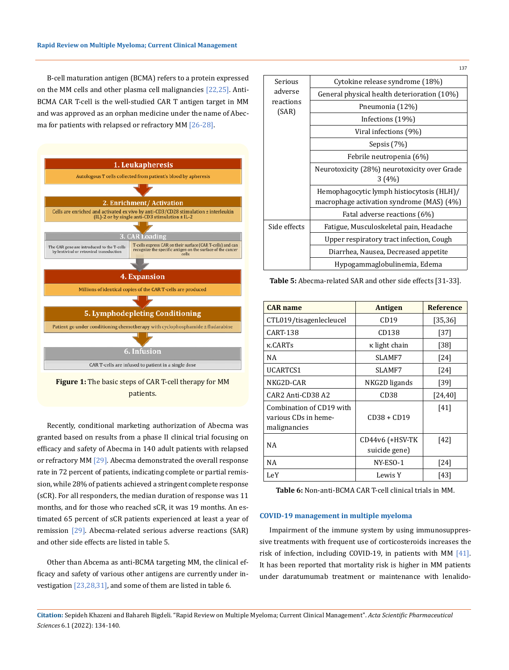B-cell maturation antigen (BCMA) refers to a protein expressed on the MM cells and other plasma cell malignancies [22,25]. Anti-BCMA CAR T-cell is the well-studied CAR T antigen target in MM and was approved as an orphan medicine under the name of Abecma for patients with relapsed or refractory MM [26-28].



**Figure 1:** The basic steps of CAR T-cell therapy for MM patients.

Recently, conditional marketing authorization of Abecma was granted based on results from a phase II clinical trial focusing on efficacy and safety of Abecma in 140 adult patients with relapsed or refractory MM [29]. Abecma demonstrated the overall response rate in 72 percent of patients, indicating complete or partial remission, while 28% of patients achieved a stringent complete response (sCR). For all responders, the median duration of response was 11 months, and for those who reached sCR, it was 19 months. An estimated 65 percent of sCR patients experienced at least a year of remission [29]. Abecma-related serious adverse reactions (SAR) and other side effects are listed in table 5.

Other than Abcema as anti-BCMA targeting MM, the clinical efficacy and safety of various other antigens are currently under investigation  $[23,28,31]$ , and some of them are listed in table 6.

| Serious            | Cytokine release syndrome (18%)              |  |
|--------------------|----------------------------------------------|--|
| adverse            | General physical health deterioration (10%)  |  |
| reactions<br>(SAR) | Pneumonia (12%)                              |  |
|                    | Infections (19%)                             |  |
|                    | Viral infections (9%)                        |  |
|                    | Sepsis (7%)                                  |  |
|                    | Febrile neutropenia (6%)                     |  |
|                    | Neurotoxicity (28%) neurotoxicity over Grade |  |
|                    | 3(4%)                                        |  |
|                    | Hemophagocytic lymph histiocytosis (HLH)/    |  |
|                    | macrophage activation syndrome (MAS) (4%)    |  |
|                    | Fatal adverse reactions (6%)                 |  |
| Side effects       | Fatigue, Musculoskeletal pain, Headache      |  |
|                    | Upper respiratory tract infection, Cough     |  |
|                    | Diarrhea, Nausea, Decreased appetite         |  |
|                    | Hypogammaglobulinemia, Edema                 |  |

**Table 5:** Abecma-related SAR and other side effects [31-33].

| <b>CAR</b> name                                                  | <b>Antigen</b>                   | <b>Reference</b> |
|------------------------------------------------------------------|----------------------------------|------------------|
| CTL019/tisagenlecleucel                                          | CD19                             | [35, 36]         |
| <b>CART-138</b>                                                  | CD138                            | $[37]$           |
| <b>K.CARTs</b>                                                   | κ light chain                    | [38]             |
| NA                                                               | SLAMF7                           | [24]             |
| UCARTCS1                                                         | SLAMF7                           | [24]             |
| NKG2D-CAR                                                        | NKG2D ligands                    | [39]             |
| CAR2 Anti-CD38 A2                                                | CD <sub>38</sub>                 | [24, 40]         |
| Combination of CD19 with<br>various CDs in heme-<br>malignancies | $CD38 + CD19$                    | [41]             |
| ΝA                                                               | CD44v6 (+HSV-TK<br>suicide gene) | [42]             |
| NA                                                               | NY-ESO-1                         | $[24]$           |
| LeY                                                              | Lewis Y                          | [43]             |

**Table 6:** Non-anti-BCMA CAR T-cell clinical trials in MM.

#### **COVID-19 management in multiple myeloma**

Impairment of the immune system by using immunosuppressive treatments with frequent use of corticosteroids increases the risk of infection, including COVID-19, in patients with MM [41]. It has been reported that mortality risk is higher in MM patients under daratumumab treatment or maintenance with lenalido-

**Citation:** Sepideh Khazeni and Bahareh Bigdeli*.* "Rapid Review on Multiple Myeloma; Current Clinical Management". *Acta Scientific Pharmaceutical Sciences* 6.1 (2022): 134-140.

137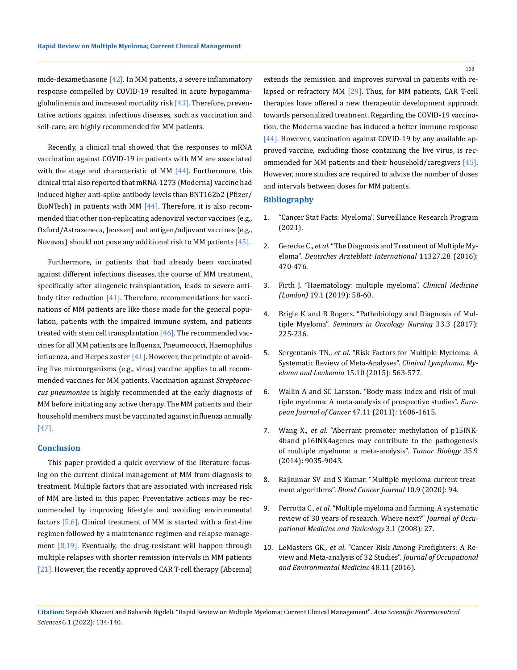mide-dexamethasone  $[42]$ . In MM patients, a severe inflammatory response compelled by COVID-19 resulted in acute hypogammaglobulinemia and increased mortality risk  $[43]$ . Therefore, preventative actions against infectious diseases, such as vaccination and self-care, are highly recommended for MM patients.

Recently, a clinical trial showed that the responses to mRNA vaccination against COVID-19 in patients with MM are associated with the stage and characteristic of MM  $[44]$ . Furthermore, this clinical trial also reported that mRNA-1273 (Moderna) vaccine had induced higher anti-spike antibody levels than BNT162b2 (Pfizer/ BioNTech) in patients with MM  $[44]$ . Therefore, it is also recommended that other non-replicating adenoviral vector vaccines (e.g., Oxford/Astrazeneca, Janssen) and antigen/adjuvant vaccines (e.g., Novavax) should not pose any additional risk to MM patients  $[45]$ .

Furthermore, in patients that had already been vaccinated against different infectious diseases, the course of MM treatment, specifically after allogeneic transplantation, leads to severe antibody titer reduction [41]. Therefore, recommendations for vaccinations of MM patients are like those made for the general population, patients with the impaired immune system, and patients treated with stem cell transplantation  $[46]$ . The recommended vaccines for all MM patients are Influenza, Pneumococci, Haemophilus influenza, and Herpes zoster  $[41]$ . However, the principle of avoiding live microorganisms (e.g., virus) vaccine applies to all recommended vaccines for MM patients. Vaccination against *Streptococcus pneumoniae* is highly recommended at the early diagnosis of MM before initiating any active therapy. The MM patients and their household members must be vaccinated against influenza annually [47].

#### **Conclusion**

This paper provided a quick overview of the literature focusing on the current clinical management of MM from diagnosis to treatment. Multiple factors that are associated with increased risk of MM are listed in this paper. Preventative actions may be recommended by improving lifestyle and avoiding environmental factors [5,6]. Clinical treatment of MM is started with a first-line regimen followed by a maintenance regimen and relapse management  $[8,19]$ . Eventually, the drug-resistant will happen through multiple relapses with shorter remission intervals in MM patients [21]. However, the recently approved CAR T-cell therapy (Abcema) extends the remission and improves survival in patients with relapsed or refractory MM [29]. Thus, for MM patients, CAR T-cell therapies have offered a new therapeutic development approach towards personalized treatment. Regarding the COVID-19 vaccination, the Moderna vaccine has induced a better immune response [44]. However, vaccination against COVID-19 by any available approved vaccine, excluding those containing the live virus, is recommended for MM patients and their household/caregivers [45]. However, more studies are required to advise the number of doses and intervals between doses for MM patients.

#### **Bibliography**

- 1. ["Cancer Stat Facts: Myeloma". Surveillance Research Program](https://seer.cancer.gov/statfacts/html/mulmy.html)  [\(2021\).](https://seer.cancer.gov/statfacts/html/mulmy.html)
- 2. Gerecke C., *et al.* ["The Diagnosis and Treatment of Multiple My](https://www.ncbi.nlm.nih.gov/pmc/articles/PMC4973001/)eloma". *[Deutsches Arzteblatt International](https://www.ncbi.nlm.nih.gov/pmc/articles/PMC4973001/)* 11327.28 (2016): [470-476.](https://www.ncbi.nlm.nih.gov/pmc/articles/PMC4973001/)
- 3. [Firth J. "Haematology: multiple myeloma".](https://www.ncbi.nlm.nih.gov/pmc/articles/PMC6399642/) *Clinical Medicine (London)* [19.1 \(2019\): 58-60.](https://www.ncbi.nlm.nih.gov/pmc/articles/PMC6399642/)
- 4. [Brigle K and B Rogers. "Pathobiology and Diagnosis of Mul](https://pubmed.ncbi.nlm.nih.gov/28688533/)tiple Myeloma". *[Seminars in Oncology Nursing](https://pubmed.ncbi.nlm.nih.gov/28688533/)* 33.3 (2017): [225-236.](https://pubmed.ncbi.nlm.nih.gov/28688533/)
- 5. Sergentanis TN., *et al*[. "Risk Factors for Multiple Myeloma: A](https://pubmed.ncbi.nlm.nih.gov/26294217/)  [Systematic Review of Meta-Analyses".](https://pubmed.ncbi.nlm.nih.gov/26294217/) *Clinical Lymphoma, Myeloma and Leukemia* [15.10 \(2015\): 563-577.](https://pubmed.ncbi.nlm.nih.gov/26294217/)
- 6. [Wallin A and SC Larsson. "Body mass index and risk of mul](https://pubmed.ncbi.nlm.nih.gov/21354783/)[tiple myeloma: A meta-analysis of prospective studies".](https://pubmed.ncbi.nlm.nih.gov/21354783/) *European Journal of Cancer* [47.11 \(2011\): 1606-1615.](https://pubmed.ncbi.nlm.nih.gov/21354783/)
- 7. Wang X., *et al*[. "Aberrant promoter methylation of p15INK-](https://pubmed.ncbi.nlm.nih.gov/24908414/)[4band p16INK4agenes may contribute to the pathogenesis](https://pubmed.ncbi.nlm.nih.gov/24908414/)  [of multiple myeloma: a meta-analysis".](https://pubmed.ncbi.nlm.nih.gov/24908414/) *Tumor Biology* 35.9 [\(2014\): 9035-9043.](https://pubmed.ncbi.nlm.nih.gov/24908414/)
- 8. [Rajkumar SV and S Kumar. "Multiple myeloma current treat](https://www.nature.com/articles/s41408-020-00359-2)ment algorithms". *[Blood Cancer Journal](https://www.nature.com/articles/s41408-020-00359-2)* 10.9 (2020): 94.
- 9. Perrotta C., *et al*[. "Multiple myeloma and farming. A systematic](https://www.ncbi.nlm.nih.gov/pmc/articles/PMC2628921/)  [review of 30 years of research. Where next?"](https://www.ncbi.nlm.nih.gov/pmc/articles/PMC2628921/) *Journal of Occu[pational Medicine and Toxicology](https://www.ncbi.nlm.nih.gov/pmc/articles/PMC2628921/)* 3.1 (2008): 27.
- 10. LeMasters GK., *et al*[. "Cancer Risk Among Firefighters: A Re](https://pubmed.ncbi.nlm.nih.gov/17099456/)[view and Meta-analysis of 32 Studies".](https://pubmed.ncbi.nlm.nih.gov/17099456/) *Journal of Occupational [and Environmental Medicine](https://pubmed.ncbi.nlm.nih.gov/17099456/)* 48.11 (2016).

138

**Citation:** Sepideh Khazeni and Bahareh Bigdeli*.* "Rapid Review on Multiple Myeloma; Current Clinical Management". *Acta Scientific Pharmaceutical Sciences* 6.1 (2022): 134-140.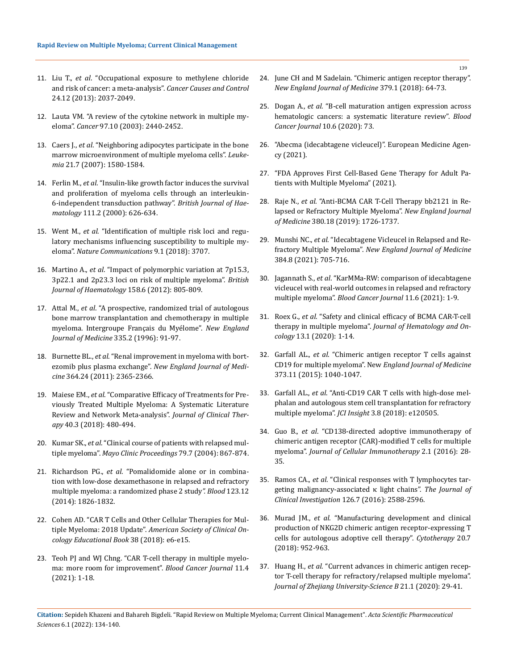- 11. Liu T., *et al*[. "Occupational exposure to methylene chloride](https://pubmed.ncbi.nlm.nih.gov/24026192/)  [and risk of cancer: a meta-analysis".](https://pubmed.ncbi.nlm.nih.gov/24026192/) *Cancer Causes and Control*  [24.12 \(2013\): 2037-2049.](https://pubmed.ncbi.nlm.nih.gov/24026192/)
- 12. [Lauta VM. "A review of the cytokine network in multiple my](https://acsjournals.onlinelibrary.wiley.com/doi/pdfdirect/10.1002/cncr.11072)eloma". *Cancer* [97.10 \(2003\): 2440-2452.](https://acsjournals.onlinelibrary.wiley.com/doi/pdfdirect/10.1002/cncr.11072)
- 13. Caers J., *et al*[. "Neighboring adipocytes participate in the bone](https://www.nature.com/articles/2404658)  [marrow microenvironment of multiple myeloma cells".](https://www.nature.com/articles/2404658) *Leukemia* [21.7 \(2007\): 1580-1584.](https://www.nature.com/articles/2404658)
- 14. Ferlin M., *et al*[. "Insulin-like growth factor induces the survival](https://pubmed.ncbi.nlm.nih.gov/11122111/)  [and proliferation of myeloma cells through an interleukin-](https://pubmed.ncbi.nlm.nih.gov/11122111/)[6-independent transduction pathway".](https://pubmed.ncbi.nlm.nih.gov/11122111/) *British Journal of Haematology* [111.2 \(2000\): 626-634.](https://pubmed.ncbi.nlm.nih.gov/11122111/)
- 15. Went M., *et al*[. "Identification of multiple risk loci and regu](https://pubmed.ncbi.nlm.nih.gov/30213928/)[latory mechanisms influencing susceptibility to multiple my](https://pubmed.ncbi.nlm.nih.gov/30213928/)eloma". *[Nature Communications](https://pubmed.ncbi.nlm.nih.gov/30213928/)* 9.1 (2018): 3707.
- 16. Martino A., *et al*[. "Impact of polymorphic variation at 7p15.3,](https://pubmed.ncbi.nlm.nih.gov/22823248/)  [3p22.1 and 2p23.3 loci on risk of multiple myeloma".](https://pubmed.ncbi.nlm.nih.gov/22823248/) *British [Journal of Haematology](https://pubmed.ncbi.nlm.nih.gov/22823248/)* 158.6 (2012): 805-809.
- 17. Attal M., *et al*[. "A prospective, randomized trial of autologous](https://pubmed.ncbi.nlm.nih.gov/8649495/)  [bone marrow transplantation and chemotherapy in multiple](https://pubmed.ncbi.nlm.nih.gov/8649495/)  [myeloma. Intergroupe Français du Myélome".](https://pubmed.ncbi.nlm.nih.gov/8649495/) *New England [Journal of Medicine](https://pubmed.ncbi.nlm.nih.gov/8649495/)* 335.2 (1996): 91-97.
- 18. Burnette BL., *et al*[. "Renal improvement in myeloma with bort](https://pubmed.ncbi.nlm.nih.gov/21675906/)ezomib plus plasma exchange". *[New England Journal of Medi](https://pubmed.ncbi.nlm.nih.gov/21675906/)cine* [364.24 \(2011\): 2365-2366.](https://pubmed.ncbi.nlm.nih.gov/21675906/)
- 19. Maiese EM., *et al*[. "Comparative Efficacy of Treatments for Pre](https://www.semanticscholar.org/paper/Comparative-Efficacy-of-Treatments-for-Previously-A-Maiese-Ainsworth/cd801d342aa09f35490278a456a22959a9d9673b)[viously Treated Multiple Myeloma: A Systematic Literature](https://www.semanticscholar.org/paper/Comparative-Efficacy-of-Treatments-for-Previously-A-Maiese-Ainsworth/cd801d342aa09f35490278a456a22959a9d9673b)  [Review and Network Meta-analysis".](https://www.semanticscholar.org/paper/Comparative-Efficacy-of-Treatments-for-Previously-A-Maiese-Ainsworth/cd801d342aa09f35490278a456a22959a9d9673b) *Journal of Clinical Therapy* [40.3 \(2018\): 480-494.](https://www.semanticscholar.org/paper/Comparative-Efficacy-of-Treatments-for-Previously-A-Maiese-Ainsworth/cd801d342aa09f35490278a456a22959a9d9673b)
- 20. Kumar SK., *et al*[. "Clinical course of patients with relapsed mul](https://pubmed.ncbi.nlm.nih.gov/15244382/)tiple myeloma". *Mayo Clinic Proceedings* [79.7 \(2004\): 867-874.](https://pubmed.ncbi.nlm.nih.gov/15244382/)
- 21. Richardson PG., *et al*[. "Pomalidomide alone or in combina](https://pubmed.ncbi.nlm.nih.gov/24421329/)[tion with low-dose dexamethasone in relapsed and refractory](https://pubmed.ncbi.nlm.nih.gov/24421329/)  [multiple myeloma: a randomized phase 2 study](https://pubmed.ncbi.nlm.nih.gov/24421329/)*". Blood* 123.12 [\(2014\): 1826-1832.](https://pubmed.ncbi.nlm.nih.gov/24421329/)
- 22. [Cohen AD. "CAR T Cells and Other Cellular Therapies for Mul](https://pubmed.ncbi.nlm.nih.gov/30231373/)tiple Myeloma: 2018 Update". *[American Society of Clinical On](https://pubmed.ncbi.nlm.nih.gov/30231373/)[cology Educational Book](https://pubmed.ncbi.nlm.nih.gov/30231373/)* 38 (2018): e6-e15.
- 23. [Teoh PJ and WJ Chng. "CAR T-cell therapy in multiple myelo](https://www.nature.com/articles/s41408-021-00469-5)[ma: more room for improvement".](https://www.nature.com/articles/s41408-021-00469-5) *Blood Cancer Journal* 11.4 [\(2021\): 1-18.](https://www.nature.com/articles/s41408-021-00469-5)
- 24. [June CH and M Sadelain. "Chimeric antigen receptor therapy".](https://www.nejm.org/doi/full/10.1056/NEJMra1706169)  *[New England Journal of](https://www.nejm.org/doi/full/10.1056/NEJMra1706169) Medicine* 379.1 (2018): 64-73.
- 25. Dogan A., *et al.* ["B-cell maturation antigen expression across](https://www.nature.com/articles/s41408-020-0337-y)  [hematologic cancers: a systematic literature review".](https://www.nature.com/articles/s41408-020-0337-y) *Blood [Cancer Journal](https://www.nature.com/articles/s41408-020-0337-y)* 10.6 (2020): 73.
- 26. ["Abecma \(idecabtagene vicleucel\)". European Medicine Agen](https://www.ema.europa.eu/en/medicines/human/EPAR/abecma)[cy \(2021\).](https://www.ema.europa.eu/en/medicines/human/EPAR/abecma)
- 27. ["FDA Approves First Cell-Based Gene Therapy for Adult Pa](https://www.fda.gov/news-events/press-announcements/fda-approves-first-cell-based-gene-therapy-adult-patients-multiple-myeloma)[tients with Multiple Myeloma" \(2021\).](https://www.fda.gov/news-events/press-announcements/fda-approves-first-cell-based-gene-therapy-adult-patients-multiple-myeloma)
- 28. Raje N., *et al*[. "Anti-BCMA CAR T-Cell Therapy bb2121 in Re](https://www.nejm.org/doi/full/10.1056/NEJMoa1817226)[lapsed or Refractory Multiple Myeloma".](https://www.nejm.org/doi/full/10.1056/NEJMoa1817226) *New England Journal of Medicine* [380.18 \(2019\): 1726-1737.](https://www.nejm.org/doi/full/10.1056/NEJMoa1817226)
- 29. Munshi NC., *et al*[. "Idecabtagene Vicleucel in Relapsed and Re](https://pubmed.ncbi.nlm.nih.gov/33626253/)fractory Multiple Myeloma". *New [England Journal of Medicine](https://pubmed.ncbi.nlm.nih.gov/33626253/)* [384.8 \(2021\): 705-716.](https://pubmed.ncbi.nlm.nih.gov/33626253/)
- 30. Jagannath S., *et al*[. "KarMMa-RW: comparison of idecabtagene](https://www.nature.com/articles/s41408-021-00507-2)  [vicleucel with real-world outcomes in relapsed and refractory](https://www.nature.com/articles/s41408-021-00507-2)  multiple myeloma". *[Blood Cancer Journal](https://www.nature.com/articles/s41408-021-00507-2)* 11.6 (2021): 1-9.
- 31. Roex G., *et al*[. "Safety and clinical efficacy of BCMA CAR-T-cell](https://pubmed.ncbi.nlm.nih.gov/33272302/)  therapy in multiple myeloma". *[Journal of Hematology and On](https://pubmed.ncbi.nlm.nih.gov/33272302/)cology* [13.1 \(2020\): 1-14.](https://pubmed.ncbi.nlm.nih.gov/33272302/)
- 32. Garfall AL., *et al*[. "Chimeric antigen receptor T cells against](https://www.nejm.org/doi/full/10.1056/NEJMoa1504542)  [CD19 for multiple myeloma". New](https://www.nejm.org/doi/full/10.1056/NEJMoa1504542) *England Journal of Medicine* [373.11 \(2015\): 1040-1047.](https://www.nejm.org/doi/full/10.1056/NEJMoa1504542)
- 33. Garfall AL., *et al*[. "Anti-CD19 CAR T cells with high-dose mel](https://pubmed.ncbi.nlm.nih.gov/29669947/)[phalan and autologous stem cell transplantation for refractory](https://pubmed.ncbi.nlm.nih.gov/29669947/)  multiple myeloma". *JCI Insight* [3.8 \(2018\): e120505.](https://pubmed.ncbi.nlm.nih.gov/29669947/)
- 34. Guo B., *et al*[. "CD138-directed adoptive immunotherapy of](https://www.researchgate.net/publication/273491760_CD138-directed_adoptive_immunotherapy_of_Chimeric_Antigen_Receptor_CAR-modified_T_cells_for_Multiple_Myeloma)  [chimeric antigen receptor \(CAR\)-modified T cells for multiple](https://www.researchgate.net/publication/273491760_CD138-directed_adoptive_immunotherapy_of_Chimeric_Antigen_Receptor_CAR-modified_T_cells_for_Multiple_Myeloma)  myeloma". *[Journal of Cellular Immunotherapy](https://www.researchgate.net/publication/273491760_CD138-directed_adoptive_immunotherapy_of_Chimeric_Antigen_Receptor_CAR-modified_T_cells_for_Multiple_Myeloma)* 2.1 (2016): 28- [35.](https://www.researchgate.net/publication/273491760_CD138-directed_adoptive_immunotherapy_of_Chimeric_Antigen_Receptor_CAR-modified_T_cells_for_Multiple_Myeloma)
- 35. Ramos CA., *et al*[. "Clinical responses with T lymphocytes tar](https://pubmed.ncbi.nlm.nih.gov/27270177/)[geting malignancy-associated κ light chains".](https://pubmed.ncbi.nlm.nih.gov/27270177/) *The Journal of Clinical Investigation* [126.7 \(2016\): 2588-2596.](https://pubmed.ncbi.nlm.nih.gov/27270177/)
- 36. Murad JM., *et al*[. "Manufacturing development and clinical](https://pubmed.ncbi.nlm.nih.gov/30180944/)  [production of NKG2D chimeric antigen receptor-expressing T](https://pubmed.ncbi.nlm.nih.gov/30180944/)  [cells for autologous adoptive cell therapy".](https://pubmed.ncbi.nlm.nih.gov/30180944/) *Cytotherapy* 20.7 [\(2018\): 952-963.](https://pubmed.ncbi.nlm.nih.gov/30180944/)
- 37. Huang H., *et al*[. "Current advances in chimeric antigen recep](https://pubmed.ncbi.nlm.nih.gov/31898440/)[tor T-cell therapy for refractory/relapsed multiple myeloma".](https://pubmed.ncbi.nlm.nih.gov/31898440/)  *[Journal of Zhejiang University-Science B](https://pubmed.ncbi.nlm.nih.gov/31898440/)* 21.1 (2020): 29-41.

**Citation:** Sepideh Khazeni and Bahareh Bigdeli*.* "Rapid Review on Multiple Myeloma; Current Clinical Management". *Acta Scientific Pharmaceutical Sciences* 6.1 (2022): 134-140.

139